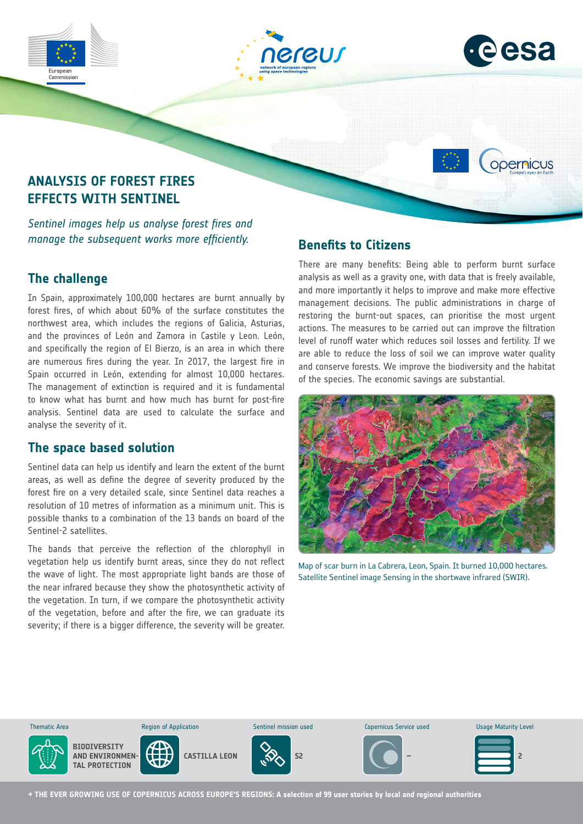





opernicus

# **ANALYSIS OF FOREST FIRES EFFECTS WITH SENTINEL**

*Sentinel images help us analyse forest fires and manage the subsequent works more efficiently.*

# **The challenge**

In Spain, approximately 100,000 hectares are burnt annually by forest fires, of which about 60% of the surface constitutes the northwest area, which includes the regions of Galicia, Asturias, and the provinces of León and Zamora in Castile y Leon. León, and specifically the region of El Bierzo, is an area in which there are numerous fires during the year. In 2017, the largest fire in Spain occurred in León, extending for almost 10,000 hectares. The management of extinction is required and it is fundamental to know what has burnt and how much has burnt for post-fire analysis. Sentinel data are used to calculate the surface and analyse the severity of it.

# **The space based solution**

Sentinel data can help us identify and learn the extent of the burnt areas, as well as define the degree of severity produced by the forest fire on a very detailed scale, since Sentinel data reaches a resolution of 10 metres of information as a minimum unit. This is possible thanks to a combination of the 13 bands on board of the Sentinel-2 satellites.

The bands that perceive the reflection of the chlorophyll in vegetation help us identify burnt areas, since they do not reflect the wave of light. The most appropriate light bands are those of the near infrared because they show the photosynthetic activity of the vegetation. In turn, if we compare the photosynthetic activity of the vegetation, before and after the fire, we can graduate its severity; if there is a bigger difference, the severity will be greater.

# **Benefits to Citizens**

There are many benefits: Being able to perform burnt surface analysis as well as a gravity one, with data that is freely available, and more importantly it helps to improve and make more effective management decisions. The public administrations in charge of restoring the burnt-out spaces, can prioritise the most urgent actions. The measures to be carried out can improve the filtration level of runoff water which reduces soil losses and fertility. If we are able to reduce the loss of soil we can improve water quality and conserve forests. We improve the biodiversity and the habitat of the species. The economic savings are substantial.



Map of scar burn in La Cabrera, Leon, Spain. It burned 10,000 hectares. Satellite Sentinel image Sensing in the shortwave infrared (SWIR).



**→ THE EVER GROWING USE OF COPERNICUS ACROSS EUROPE'S REGIONS: A selection of 99 user stories by local and regional authorities**